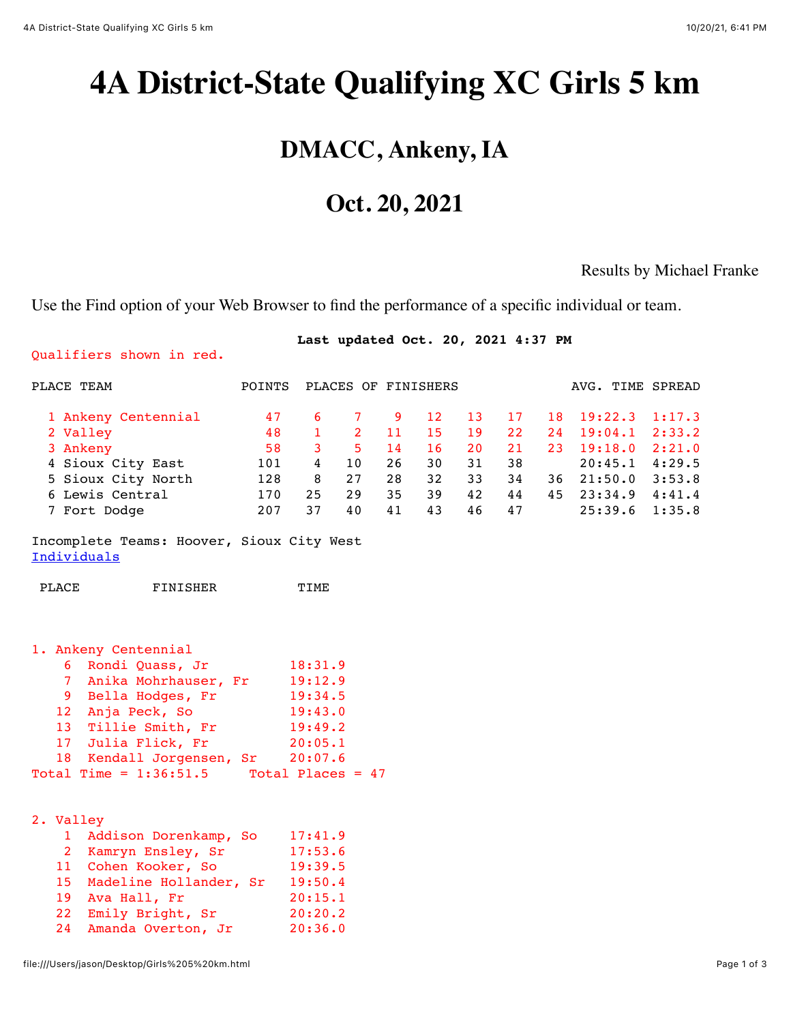Qualifiers shown in red.

# <span id="page-0-0"></span>**4A District-State Qualifying XC Girls 5 km**

## **DMACC, Ankeny, IA**

## **Oct. 20, 2021**

#### Results by Michael Franke

Use the Find option of your Web Browser to find the performance of a specific individual or team.

#### **Last updated Oct. 20, 2021 4:37 PM**

| PLACE TEAM                                                                                                                                                                                                                                   | POINTS PLACES OF FINISHERS                 |                                                                                         |                                                                         |                                       |                                                       |                                                     |                                                     |                                         | AVG. TIME SPREAD                                                          |                                                                    |
|----------------------------------------------------------------------------------------------------------------------------------------------------------------------------------------------------------------------------------------------|--------------------------------------------|-----------------------------------------------------------------------------------------|-------------------------------------------------------------------------|---------------------------------------|-------------------------------------------------------|-----------------------------------------------------|-----------------------------------------------------|-----------------------------------------|---------------------------------------------------------------------------|--------------------------------------------------------------------|
| 1 Ankeny Centennial<br>2 Valley<br>3 Ankeny<br>4 Sioux City East<br>5 Sioux City North<br>6 Lewis Central<br>7 Fort Dodge<br>Incomplete Teams: Hoover, Sioux City West                                                                       | 47<br>48<br>58<br>101<br>128<br>170<br>207 | $6 \qquad$<br>$1 \quad \blacksquare$<br>$3^{\circ}$<br>$4\overline{ }$<br>8<br>25<br>37 | 7 <sup>7</sup><br>$2^{\circ}$<br>5 <sup>1</sup><br>10<br>27<br>29<br>40 | 9<br>11<br>14<br>26<br>28<br>35<br>41 | $12 \overline{ }$<br>15<br>16<br>30<br>32<br>39<br>43 | 13 <sup>°</sup><br>19<br>20<br>31<br>33<br>42<br>46 | 17<br>22 <sub>2</sub><br>21<br>38<br>34<br>44<br>47 | 18<br>24<br>23 <sup>°</sup><br>36<br>45 | 19:22.3<br>19:04.1<br>19:18.0<br>20:45.1<br>21:50.0<br>23:34.9<br>25:39.6 | 1:17.3<br>2:33.2<br>2:21.0<br>4:29.5<br>3:53.8<br>4:41.4<br>1:35.8 |
| Individuals                                                                                                                                                                                                                                  |                                            |                                                                                         |                                                                         |                                       |                                                       |                                                     |                                                     |                                         |                                                                           |                                                                    |
| FINISHER<br>PLACE                                                                                                                                                                                                                            |                                            | TIME                                                                                    |                                                                         |                                       |                                                       |                                                     |                                                     |                                         |                                                                           |                                                                    |
| 1. Ankeny Centennial<br>6 Rondi Quass, Jr<br>7 Anika Mohrhauser, Fr 19:12.9<br>9 Bella Hodges, Fr<br>12 Anja Peck, So<br>13 Tillie Smith, Fr<br>17 Julia Flick, Fr<br>18 Kendall Jorgensen, Sr<br>Total Time = $1:36:51.5$ Total Places = 47 | 18:31.9<br>20:05.1                         | 19:34.5<br>19:43.0<br>19:49.2<br>20:07.6                                                |                                                                         |                                       |                                                       |                                                     |                                                     |                                         |                                                                           |                                                                    |
| 2. Valley<br>1 Addison Dorenkamp, So<br>2 Kamryn Ensley, Sr<br>11 Cohen Kooker, So<br>15 Madeline Hollander, Sr 19:50.4<br>19 Ava Hall, Fr<br>Emily Bright, Sr<br>22<br>24<br>Amanda Overton, Jr                                             |                                            | 17:41.9<br>17:53.6<br>19:39.5<br>20:15.1<br>20:20.2<br>20:36.0                          |                                                                         |                                       |                                                       |                                                     |                                                     |                                         |                                                                           |                                                                    |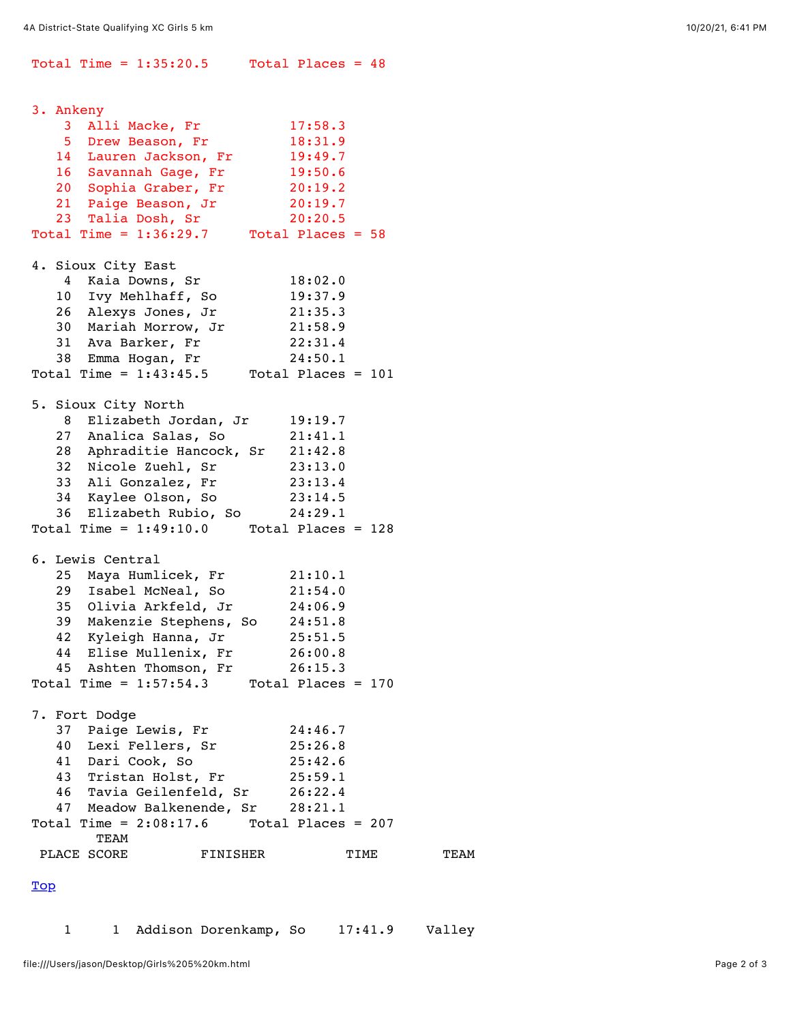Total Time =  $1:35:20.5$  Total Places =  $48$ 3. Ankeny 3 Alli Macke, Fr 17:58.3 5 Drew Beason, Fr 18:31.9 14 Lauren Jackson, Fr 19:49.7 16 Savannah Gage, Fr 19:50.6 20 Sophia Graber, Fr 20:19.2 21 Paige Beason, Jr 20:19.7 23 Talia Dosh, Sr 20:20.5 Total Time =  $1:36:29.7$  Total Places =  $58$ 4. Sioux City East 4 Kaia Downs, Sr 18:02.0 10 Ivy Mehlhaff, So 19:37.9 26 Alexys Jones, Jr 21:35.3 30 Mariah Morrow, Jr 21:58.9 31 Ava Barker, Fr 22:31.4 38 Emma Hogan, Fr 24:50.1 Total Time =  $1:43:45.5$  Total Places = 101 5. Sioux City North 8 Elizabeth Jordan, Jr 19:19.7 27 Analica Salas, So 21:41.1 28 Aphraditie Hancock, Sr 21:42.8 32 Nicole Zuehl, Sr 23:13.0 33 Ali Gonzalez, Fr 23:13.4 34 Kaylee Olson, So 23:14.5<br>36 Elizabeth Rubio, So 24:29.1 36 Elizabeth Rubio, So Total Time =  $1:49:10.0$  Total Places = 128 6. Lewis Central 25 Maya Humlicek, Fr 21:10.1 29 Isabel McNeal, So 21:54.0 35 Olivia Arkfeld, Jr 24:06.9 39 Makenzie Stephens, So 24:51.8 42 Kyleigh Hanna, Jr 25:51.5 44 Elise Mullenix, Fr 26:00.8 45 Ashten Thomson, Fr 26:15.3 Total Time =  $1:57:54.3$  Total Places = 170 7. Fort Dodge 37 Paige Lewis, Fr 24:46.7 40 Lexi Fellers, Sr 25:26.8 41 Dari Cook, So 25:42.6 43 Tristan Holst, Fr 25:59.1 46 Tavia Geilenfeld, Sr 26:22.4 47 Meadow Balkenende, Sr 28:21.1 Total Time =  $2:08:17.6$  Total Places = 207 TEAM PLACE SCORE FINISHER TIME TEAM [Top](#page-0-0)

<span id="page-1-0"></span>1 1 Addison Dorenkamp, So 17:41.9 Valley